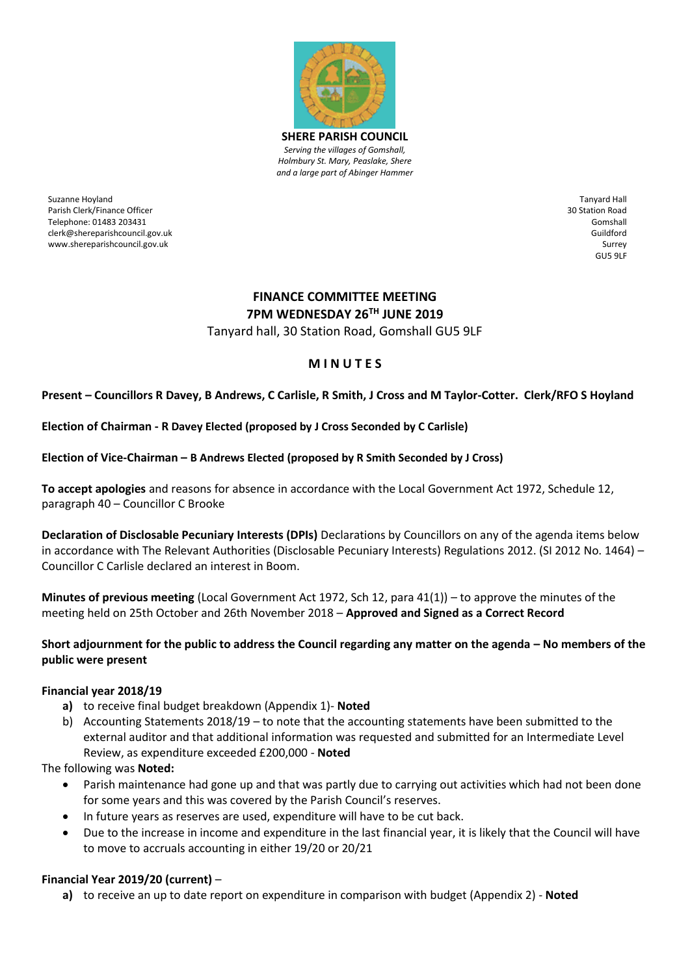

Suzanne Hoyland Parish Clerk/Finance Officer Telephone: 01483 203431 clerk@shereparishcouncil.gov.uk www.shereparishcouncil.gov.uk

Tanyard Hall 30 Station Road Gomshall Guildford Surrey GU5 9LF

# **FINANCE COMMITTEE MEETING 7PM WEDNESDAY 26 TH JUNE 2019**

Tanyard hall, 30 Station Road, Gomshall GU5 9LF

# **M I N U T E S**

## **Present – Councillors R Davey, B Andrews, C Carlisle, R Smith, J Cross and M Taylor-Cotter. Clerk/RFO S Hoyland**

#### **Election of Chairman - R Davey Elected (proposed by J Cross Seconded by C Carlisle)**

#### **Election of Vice-Chairman – B Andrews Elected (proposed by R Smith Seconded by J Cross)**

**To accept apologies** and reasons for absence in accordance with the Local Government Act 1972, Schedule 12, paragraph 40 – Councillor C Brooke

**Declaration of Disclosable Pecuniary Interests (DPIs)** Declarations by Councillors on any of the agenda items below in accordance with The Relevant Authorities (Disclosable Pecuniary Interests) Regulations 2012. (SI 2012 No. 1464) – Councillor C Carlisle declared an interest in Boom.

**Minutes of previous meeting** (Local Government Act 1972, Sch 12, para 41(1)) – to approve the minutes of the meeting held on 25th October and 26th November 2018 – **Approved and Signed as a Correct Record** 

#### **Short adjournment for the public to address the Council regarding any matter on the agenda – No members of the public were present**

#### **Financial year 2018/19**

- **a)** to receive final budget breakdown (Appendix 1)- **Noted**
- b) Accounting Statements 2018/19 to note that the accounting statements have been submitted to the external auditor and that additional information was requested and submitted for an Intermediate Level Review, as expenditure exceeded £200,000 - **Noted**

The following was **Noted:**

- Parish maintenance had gone up and that was partly due to carrying out activities which had not been done for some years and this was covered by the Parish Council's reserves.
- In future years as reserves are used, expenditure will have to be cut back.
- Due to the increase in income and expenditure in the last financial year, it is likely that the Council will have to move to accruals accounting in either 19/20 or 20/21

## **Financial Year 2019/20 (current)** –

**a)** to receive an up to date report on expenditure in comparison with budget (Appendix 2) - **Noted**